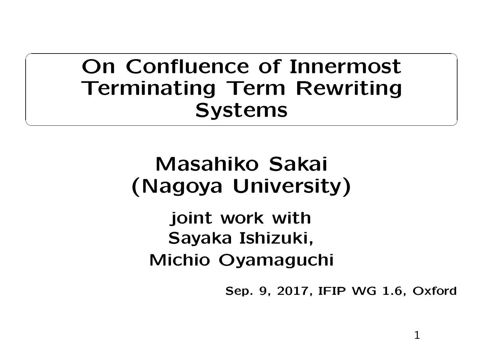On Confluence of Innermost Terminating Term RewritingSystems

## Masahiko Sakai (Nagoya University)

joint work with Sayaka Ishizuki, Michio Oyamaguchi

Sep. 9, 2017, IFIP WG 1.6, Oxford

1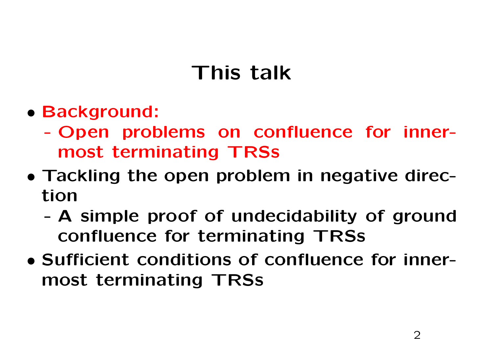## This talk

- Background:
	- - Open problems on confluence for innermost terminating TRSs
- Tackling the open problem in negative direction
	- - <sup>A</sup> simple proof of undecidability of groundconfluence for terminating TRSs
- Sufficient conditions of confluence for innermost terminating TRSs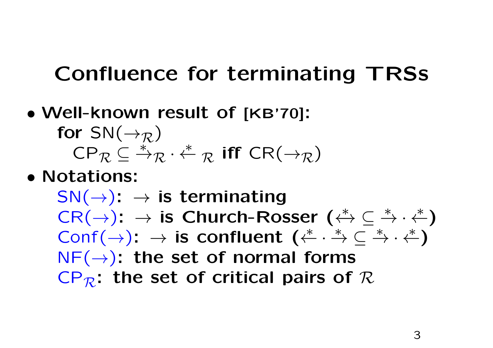## Confluence for terminating TRSs

• Well-known result of [KB'70]: for  $\mathsf{SN}(\to_\mathcal{R})$ the contract of the contract of  $\mathsf{CP}_\mathcal{R} \subseteq {^\ast\!\!} _\mathcal{R}$  $R \cdot \stackrel{*}{\leftarrow}$  $\mathcal R$  $_{\mathcal{R}}$  iff CR( $\rightarrow_{\mathcal{R}}$ )

• Notations:

 $\mathsf{SN}(\to) \colon \to$  is terminating<br>CR(→): → is Church-Ros  $\mathsf{CR}(\rightarrow): \rightarrow$  is Church-Rosser  $(\stackrel{*}{\leftarrow} \subseteq \mathsf{Conf}(\rightarrow): \rightarrow$  is confluent  $(\stackrel{*}{\leftarrow} \cdot \stackrel{*}{\rightarrow} \subseteq \mathsf{Conf}(\rightarrow): \rightarrow \mathsf{TR}(\rightarrow): \rightarrow \mathsf{TR}(\rightarrow): \mathsf{TR}(\rightarrow): \mathsf{TR}(\rightarrow): \mathsf{TR}(\rightarrow): \mathsf{TR}(\rightarrow): \mathsf{TR}(\rightarrow): \mathsf{TR}(\rightarrow): \mathsf{TR}(\rightarrow): \mathsf{TR}(\rightarrow): \mathsf{TR}(\rightarrow): \mathsf{TR}(\rightarrow): \mathsf{TR}(\rightarrow):$  $\begin{array}{c} \rightarrow\ \_ \rightarrow \cdot \rightarrow \ \ast \end{array}$ ∗ $\stackrel{*}{\rightarrow} \cdot \stackrel{*}{\leftarrow}$  )  $Conf(\rightarrow): \rightarrow$  is confluent  $(\stackrel{*}{\leftarrow} \cdot \stackrel{*}{\rightarrow} \subseteq \stackrel{*}{\rightarrow} \cdot \stackrel{*}{\leftarrow})$ <br>NF(→); the set of normal forms  $\rightarrow$   $\subseteq$   $\rightarrow$   $\cdot$  . ∗ $\stackrel{*}{\to} \cdot \stackrel{*}{\leftarrow}$  )  $\mathsf{NF}(\rightarrow)$ : the set of normal forms  $\mathsf{CP}_{\mathcal{R}}\text{: the set of critical pairs of }\mathcal{R}$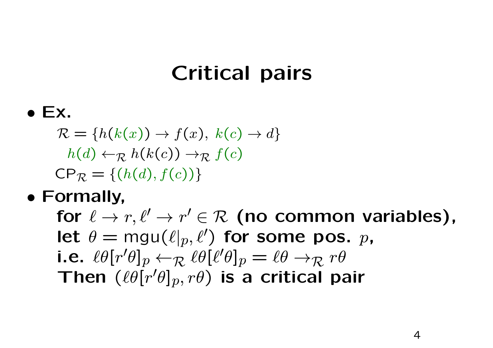## Critical pairs

## $\bullet$  Ex.

 $\mathcal{R} = \{h(k(x)) \to f(x), k(c) \to d\}$  $h(d) \leftarrow_{\mathcal{R}} h(k(c)) \rightarrow_{\mathcal{R}} f(c)$  $\mathsf{CP}_{\mathcal{R}} = \{ (h(d), f(c)) \}$ 

## • Formally,

for  $\ell \to r, \ell' \to r' \in \mathcal{R}$  (no common variables),<br>let  $\theta = \text{mul}(\ell \mid_{r} \ell')$  for some nos  $n$ let  $\theta = \mathsf{mgu}(\ell|p, \ell')$  for some pos.  $p$ , i.e.  $\ell\theta[r'\theta]_p \leftarrow_R$  $R \ell \theta [\ell' \theta]_p = \ell \theta \rightarrow_R r \theta$ <br> $R \theta$  is a critical pro Then  $(\ell\theta[r'\theta]_p, r\theta)$  is a critical pair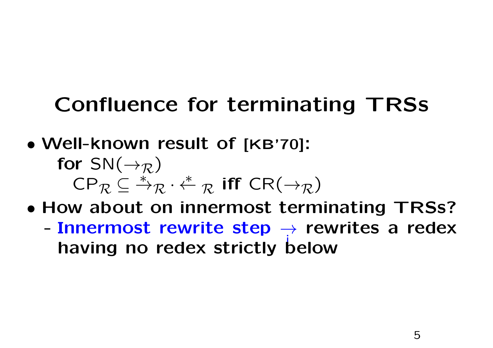## Confluence for terminating TRSs

- Well-known result of [KB'70]: for  $\mathsf{SN}(\to_\mathcal{R})$ the contract of the contract of  $\mathsf{CP}_\mathcal{R} \subseteq {^\ast\!\!} _\mathcal{R}$  $R \cdot \stackrel{*}{\leftarrow}$  $\mathcal R$  $\mathcal{R}$  iff  $CR(\rightarrow_{\mathcal{R}})$
- • How about on innermost terminating TRSs?
	- $\blacksquare$  Innermost rewrite sten  $\blacktriangle$  rewrites a rede - Innermost rewrite step  $\rightarrow$  rewrites a redex<br>having no redex strictly below having no redex strictly below i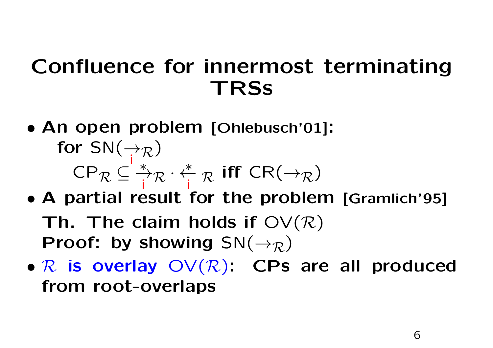## Confluence for innermost terminating**TRSS**

- An open problem [Ohlebusch'01]:<br>for SN( $\rightarrow$ for  $\mathsf{SN}(\rightarrow\!\!\!\!\rightarrow_{\mathcal{R}})$ i $\mathsf{CP}_{\mathcal{R}}\subseteq \mathbb{R}^*$ i $R \cdot \frac{*}{\mathsf{i}}$ i $\mathcal R$  $_{\mathcal{R}}$  iff CR( $\rightarrow_{\mathcal{R}}$ )
- A partial result for the problem [Gramlich'95]<br>
The The claim holds if  $QV(D)$ Th. The claim holds if  $\mathsf{OV}(\mathcal{R})$ Proof: by showing  $\textsf{SN}(\rightarrow_{\mathcal{R}})$
- $R$  is overlay  $\mathsf{OV}(R)$ : CPs are all produced<br>from root overlans from root-overlaps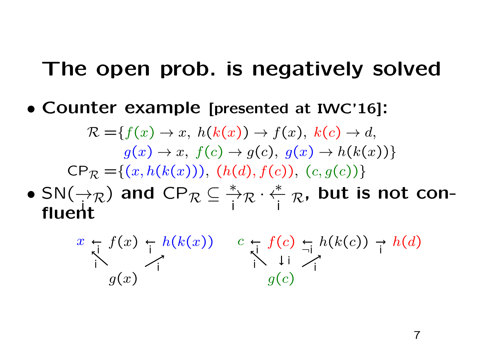#### The open prob. is negatively solved

• Counter example [presented at IWC'16]:

 $\mathcal{R} = \{f(x) \to x, h(k(x)) \to f(x), k(c) \to d,$ 100 Andreas Andreas Andreas Andreas Andreas Andreas Andreas Andreas Andreas Andreas Andreas Andreas Andreas An the control of the control of the con $g(x) \to x$ ,  $f(c) \to g(c)$ ,  $g(x) \to h(k(x))$ }<br> $(g, h(k(x))) \to (h(d), f(c)) \to (g, g(c)))$  $\mathsf{CP}_{\mathcal{R}} = \{(x, h(k(x))), (h(d), f(c)), (c, g(c))\}$ 

 $\bullet$  SN( $\rightarrow_{\mathcal{D}}$ •  $SN(\rightarrow_R)$  and CP i fluent $\mathcal{R} \subseteq \overset{*}{\to} \mathcal{R}$ i $\mathcal{R} \cdot \stackrel{*}{\leftarrow} \mathcal{R}$ , but is not coni

$$
x \underset{i}{\leftarrow} f(x) \underset{j}{\leftarrow} h(k(x)) \quad c \underset{i}{\leftarrow} f(c) \underset{j}{\leftarrow} h(k(c)) \underset{i}{\rightarrow} h(d)
$$

$$
g(x) \quad g(c)
$$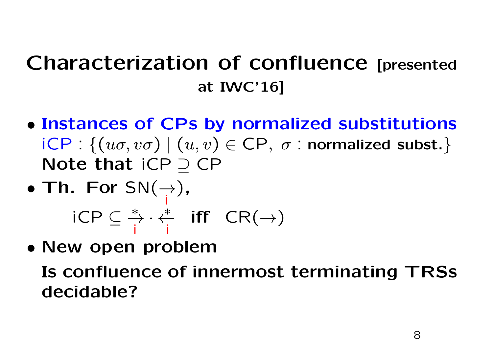## Characterization of confluence [presented at IWC'16]

• Instances of CPs by normalized substitutions  $\mathsf{ICP} : \{(u\sigma,v\sigma) \mid (u,v) \in \mathsf{CP},\; \sigma \text{ : normalized subset.}\}$ Note that iCP⊇CP<br>————————————————————

• Th. For 
$$
SN(\rightarrow)
$$
,  
  $iCP \subseteq \frac{*}{i} \cdot \frac{*}{i}$  iff  $CR(\rightarrow)$ 

• New open problem

Is confluence of innermost terminating TRSsdecidable?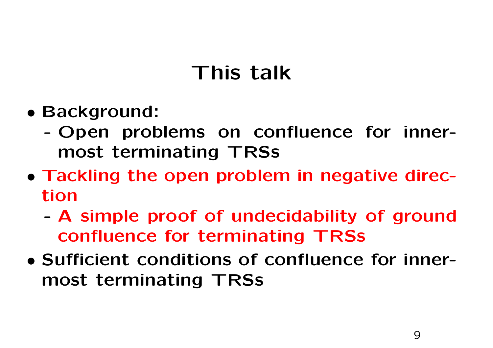## This talk

- Background:
	- - Open problems on confluence for innermost terminating TRSs
- Tackling the open problem in negative direction
	- - <sup>A</sup> simple proof of undecidability of groundconfluence for terminating TRSs
- Sufficient conditions of confluence for innermost terminating TRSs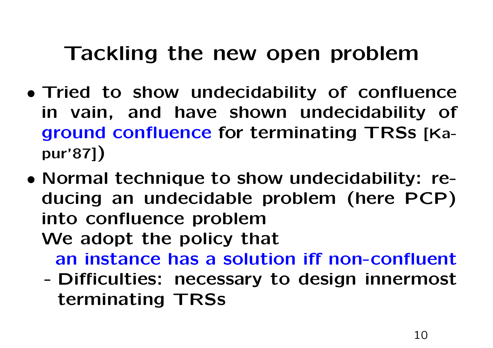#### Tackling the new open problem

- Tried to show undecidability of confluence in vain, and have shown undecidability of ground confluence for terminating TRSs [Kapur'87])
- Normal technique to show undecidability: reducing an undecidable problem (here PCP)into confluence problemWe adopt the policy that
	- an instance has <sup>a</sup> solution iff non-confluent
	- - Difficulties: necessary to design innermost terminating TRSs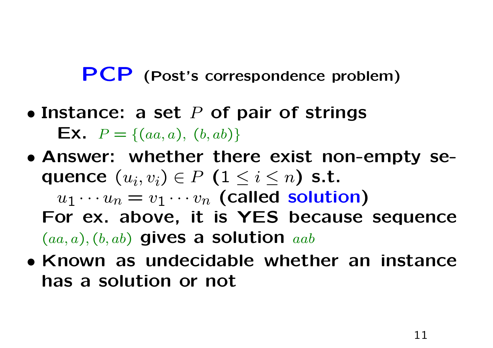# PCP (Post's correspondence problem)

- Instance: a set  $P$  of pair of strings **Ex.**  $P = \{(aa, a), (b, ab)\}$
- Answer: whether there exist non-empty sequence  $(u_i, v_i) \in P$   $(1 \leq i \leq n)$  s.t.  $u_1 \cdots u_n = v_1 \cdots v_n$  (called solution)<br>or ex-above it is YES because For ex. above, it is YES because sequence $(aa, a), (b, ab)$  gives a solution  $aab$
- Known as undecidable whether an instancehas <sup>a</sup> solution or not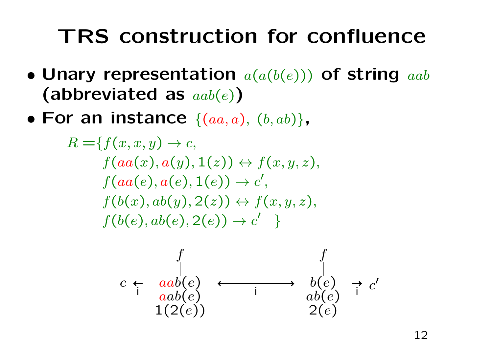## TRS construction for confluence

- Unary representation(abbreviated as  $\mathit{aab}(e)$ )  $a(a(b(e)))$  of string  $aab$
- For an instance  $\{(aa, a), (b, ab)\}$ ,

$$
R = \{f(x, x, y) \rightarrow c,
$$
  
\n
$$
f(aa(x), a(y), 1(z)) \leftrightarrow f(x, y, z),
$$
  
\n
$$
f(aa(e), a(e), 1(e)) \rightarrow c',
$$
  
\n
$$
f(b(x), ab(y), 2(z)) \leftrightarrow f(x, y, z),
$$
  
\n
$$
f(b(e), ab(e), 2(e)) \rightarrow c' \}
$$

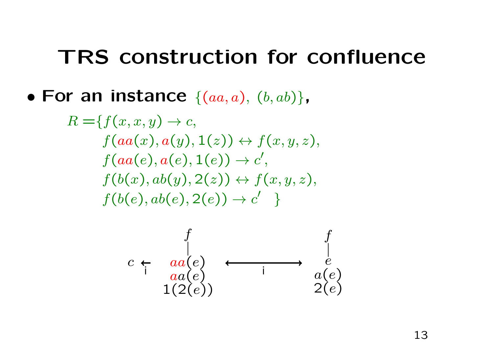#### TRS construction for confluence

#### • For an instance  $\{(aa, a), (b, ab)\}$ ,

$$
R = \{f(x, x, y) \rightarrow c,
$$
  
\n
$$
f(aa(x), a(y), 1(z)) \leftrightarrow f(x, y, z),
$$
  
\n
$$
f(aa(e), a(e), 1(e)) \rightarrow c',
$$
  
\n
$$
f(b(x), ab(y), 2(z)) \leftrightarrow f(x, y, z),
$$
  
\n
$$
f(b(e), ab(e), 2(e)) \rightarrow c' \}
$$

$$
c \leftarrow \begin{array}{c} f \\ da(e) \\ aa(e) \\ 1(2(e)) \end{array} \longleftrightarrow \begin{array}{c} f \\ e \\ a(e) \\ 2(e) \end{array}
$$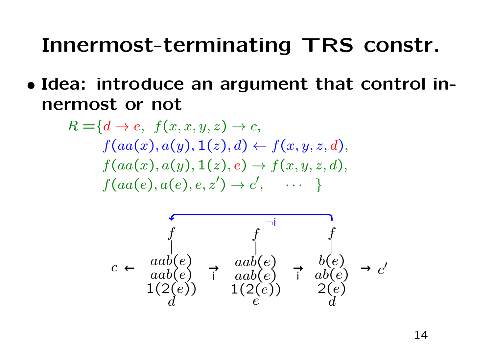## Innermost-terminating TRS constr.

• Idea: introduce an argument that control innermost or not

$$
R = \{d \rightarrow e, f(x, x, y, z) \rightarrow c,
$$
  
\n
$$
f(aa(x), a(y), 1(z), d) \leftarrow f(x, y, z, d),
$$
  
\n
$$
f(aa(x), a(y), 1(z), e) \rightarrow f(x, y, z, d),
$$
  
\n
$$
f(aa(e), a(e), e, z') \rightarrow c', \cdots \}
$$

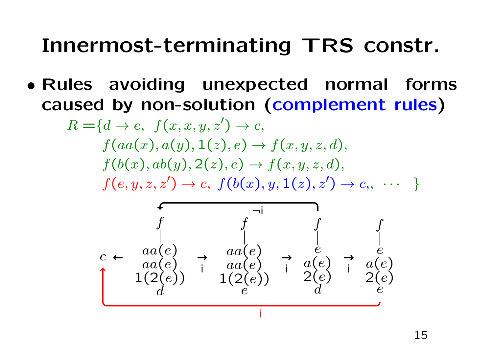## Innermost-terminating TRS constr.

• Rules avoiding unexpected normal forms caused by non-solution (complement rules)

$$
R = \{d \rightarrow e, f(x, x, y, z') \rightarrow c,
$$
  
\n
$$
f(aa(x), a(y), 1(z), e) \rightarrow f(x, y, z, d),
$$
  
\n
$$
f(b(x), ab(y), 2(z), e) \rightarrow f(x, y, z, d),
$$
  
\n
$$
f(e, y, z, z') \rightarrow c, f(b(x), y, 1(z), z') \rightarrow c, \cdots
$$

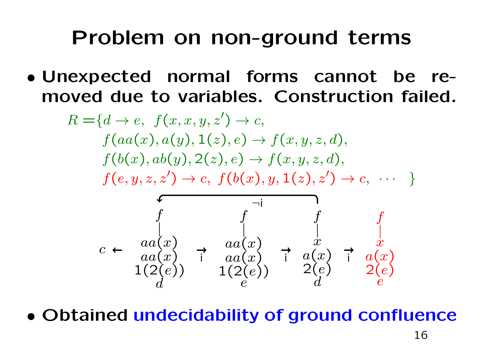### Problem on non-ground terms

• Unexpected normal forms cannot be removed due to variables. Construction failed.

$$
R = \{d \rightarrow e, f(x, x, y, z') \rightarrow c,
$$
  
\n
$$
f(aa(x), a(y), 1(z), e) \rightarrow f(x, y, z, d),
$$
  
\n
$$
f(b(x), ab(y), 2(z), e) \rightarrow f(x, y, z, d),
$$
  
\n
$$
f(e, y, z, z') \rightarrow c, f(b(x), y, 1(z), z') \rightarrow c, \cdots
$$
  
\n
$$
\leftarrow \begin{array}{c}\n a(a(x) \\
 a(a(x)) \\
 a(a(x)) \\
 1(2(e))\n\end{array}\n\right\} \rightarrow \begin{array}{c}\n a \\
 f \\
 a(x) \\
 a(x) \\
 1(2(e))\n\end{array}\n\rightarrow \begin{array}{c}\n a \\
 f \\
 aa(x) \\
 a(a(x) \\
 1(2(e))\n\end{array}\n\rightarrow \begin{array}{c}\n a \\
 a \\
 ac \\
 ac \\
 2(e)\n\end{array}
$$

• Obtained undecidability of ground confluence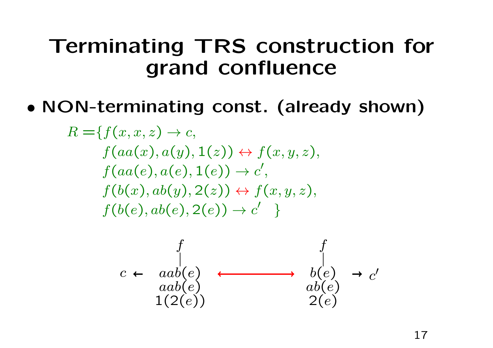### Terminating TRS construction for grand confluence

•NON-terminating const. (already shown)

$$
R = \{ f(x, x, z) \rightarrow c,
$$
  
\n
$$
f(aa(x), a(y), 1(z)) \leftrightarrow f(x, y, z),
$$
  
\n
$$
f(aa(e), a(e), 1(e)) \rightarrow c',
$$
  
\n
$$
f(b(x), ab(y), 2(z)) \leftrightarrow f(x, y, z),
$$
  
\n
$$
f(b(e), ab(e), 2(e)) \rightarrow c' \}
$$

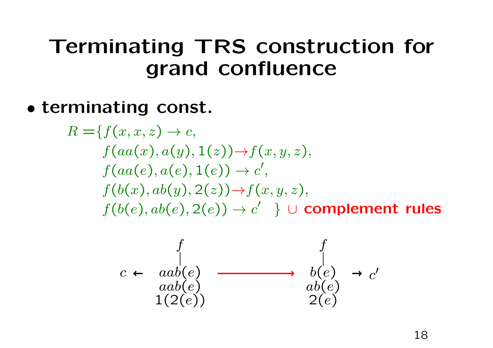## Terminating TRS construction for grand confluence

## • terminating const.

$$
R = \{f(x, x, z) \rightarrow c,
$$
  
\n
$$
f(aa(x), a(y), 1(z)) \rightarrow f(x, y, z),
$$
  
\n
$$
f(aa(e), a(e), 1(e)) \rightarrow c',
$$
  
\n
$$
f(b(x), ab(y), 2(z)) \rightarrow f(x, y, z),
$$
  
\n
$$
f(b(e), ab(e), 2(e)) \rightarrow c' \} \cup complement rules
$$

$$
c \leftarrow \begin{array}{c} f \\ \downarrow \\ \text{a}ab(e) \\ 1(2(e)) \end{array} \longrightarrow \begin{array}{c} f \\ \downarrow \\ \text{b}(e) \\ ab(e) \\ 2(e) \end{array} \rightarrow c'
$$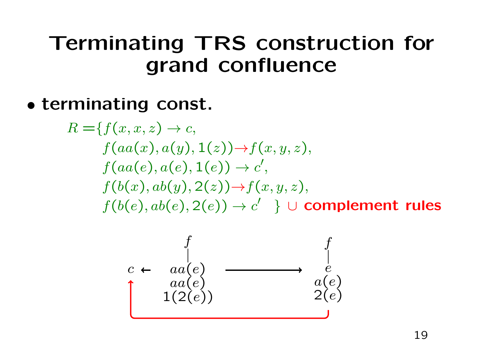## Terminating TRS construction for grand confluence

• terminating const.

$$
R = \{f(x, x, z) \rightarrow c,
$$
  
\n
$$
f(aa(x), a(y), 1(z)) \rightarrow f(x, y, z),
$$
  
\n
$$
f(aa(e), a(e), 1(e)) \rightarrow c',
$$
  
\n
$$
f(b(x), ab(y), 2(z)) \rightarrow f(x, y, z),
$$
  
\n
$$
f(b(e), ab(e), 2(e)) \rightarrow c' \} \cup complement rules
$$

$$
c \leftarrow \begin{array}{c} f \\ \downarrow \\ aa(e) \\ 1(2(e)) \end{array} \longrightarrow \begin{array}{c} f \\ \downarrow \\ a(e) \\ 2(e) \end{array}
$$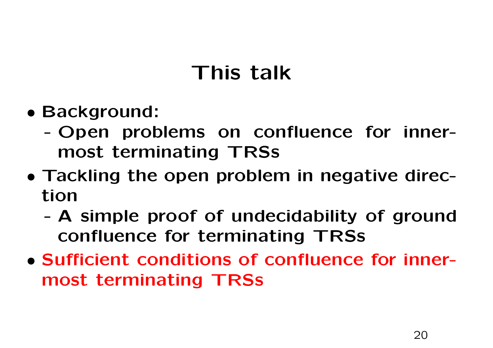## This talk

- Background:
	- - Open problems on confluence for innermost terminating TRSs
- Tackling the open problem in negative direction
	- - <sup>A</sup> simple proof of undecidability of groundconfluence for terminating TRSs
- Sufficient conditions of confluence for innermost terminating TRSs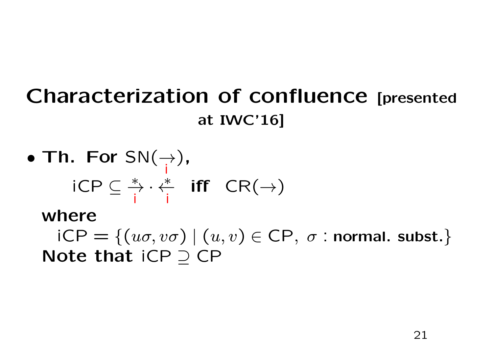### Characterization of confluence [presented at IWC'16]

• Th. For 
$$
SN(\rightarrow)
$$
,  
  $iCP \subseteq \frac{*}{i} \cdot \frac{*}{i}$  iff  $CR(\rightarrow)$ 

where

 $\mathsf{iCP} = \{ (u\sigma,v\sigma) \mid (u,v) \in \mathsf{CP},\; \sigma : \mathsf{normal.\;subst.}\}$ Note that iCP  $\supseteq$  CP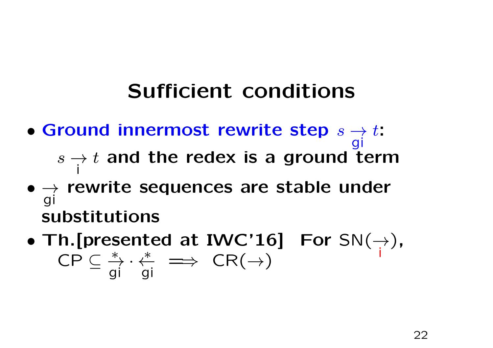- Ground innermost rewrite step s $\rightarrow$  $s\rightarrow t$  and the redex is a ground t git: $\rightarrow t$  and the redex is a ground term i
- $\rightarrow$  rewrite sequences are stable under substitutions
- •• Th. [presented at IWC'16] For  $SN(\rightarrow$ ih.[presented at IWC'16] For SN $(\rightarrow)$ ,<br>CP C  $\stackrel{*}{\to} \cdot \stackrel{*}{\leftarrow} \implies$  CR $(\rightarrow)$ ⊆<sup>→</sup><sup>∗</sup> gi· <sup>←</sup><sup>∗</sup> gi $\implies$  CR( $\rightarrow$ )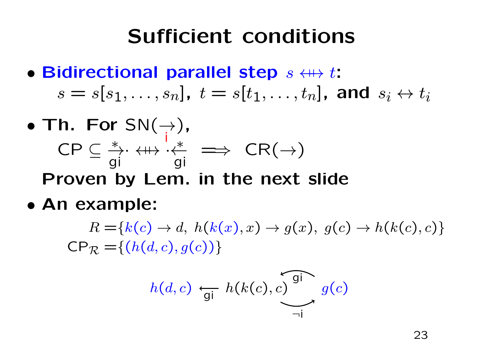- Bidirectional parallel step  $s \leftrightarrow t$ :  $\overline{1}$  $s=s[s_1,\ldots,s_n]$  ,  $t=s[t_1,\ldots,t_n]$ [[ $\, n \,$ ], and $s_i\leftrightarrow t_i$
- • $\bullet$  Th. For SN $(\rightarrow)$ , iCP⊆<sup>→</sup>→⋅ ← ← ← gi· ←→ · <sup>q</sup>  $\stackrel{*}{\longleftarrow}$ gi $\implies$  CR( $\rightarrow$ ) Proven by Lem. in the next slide
- An example:

 $R = \{k(c) \rightarrow d, h(k(x), x) \rightarrow g(x), g(c) \rightarrow h(k(c), c)\}$ <br>=  $(k(d, c), g(c))$  $\mathsf{CP}_{\mathcal{R}} = \{(h(d, c), g(c))\}$ 

$$
h(d, c) \leftarrow_{gi} h(k(c), c) \underbrace{\overbrace{\phantom{a}}^{gi}}_{\neg i} g(c)
$$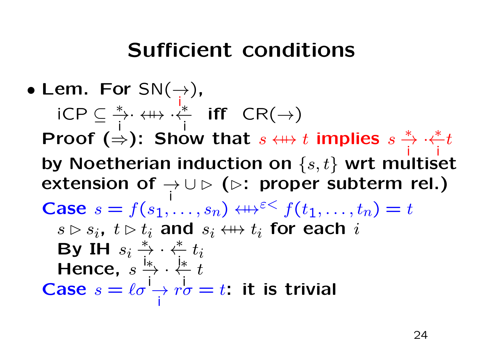#### •• Lem. For  $SN(\rightarrow)$ , iiCP⊆<sup>→</sup><sup>∗</sup> i· ← ← → → ←<br>、 <sup>←</sup><sup>∗</sup> i $\mathsf{iff} \ \ \mathsf{CR}(\rightarrow$ )Proof  $(\stackrel{\cdot}{\Rightarrow})$ : Show that  $s$   $\leftrightarrow$ s $\leftarrow$  $t$  implies s $\stackrel{*}{\to} \cdot \stackrel{*}{\leftarrow} t$ iby Noetherian induction on  $\{s,t\}$  wrt multiset iextension of  $\rightarrow$ ∪ $\triangleright$  ( $\triangleright$ : proper subterm rel.) iCase  $s = f(s_1, \ldots, s_n) \leftrightarrow$  $\mathbf{r}$  and  $\mathbf{r}$  and  $\mathbf{r}$  and  $\mathbf{r}$  and  $\mathbf{r}$  and  $\mathbf{r}$  and  $\mathbf{r}$  and  $\mathbf{r}$  and  $\mathbf{r}$  and  $\mathbf{r}$  and  $\mathbf{r}$  and  $\mathbf{r}$  and  $\mathbf{r}$  and  $\mathbf{r}$  and  $\mathbf{r}$  and  $\mathbf{r}$  and  $\mathbf{r}$  and  $\mapsto^{\varepsilon\lt} f(t_1,\ldots,t_n) = t$  $s \rhd s_i$ ,  $t \rhd t_i$  $_i$  and  $s_i \leftrightarrow t_i$ By IH  $s_i\overset{*}{\to}\cdot\overset{*}{\leftarrow}t_i$  $_i$  for each  $i$ i. . . .  $\cdot \overset{*}{\leftarrow} t_i$ iHence,  $s \overset{\text{\tiny{1}\ast}}{\rightarrow} \cdot \overset{\text{\tiny{1}\ast}}{\leftarrow} \overline{\cdot}$ s<sup>→</sup><sup>∗</sup> i·← <del>∤</del>∗<br>∴ itCase  $s = \ell \sigma \rightarrow r \sigma$  $=\ell\sigma \rightarrow r\sigma = t$ : it is trivial i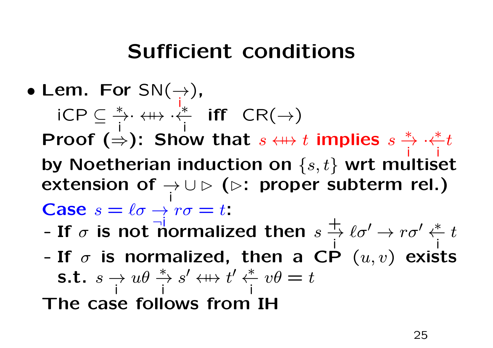#### •• Lem. For  $SN(\rightarrow)$ , i iCP⊆<sup>→</sup><sup>∗</sup> · ←→ · <sup>q</sup> i $\overleftrightarrow{i}$  iff  $CR(\rightarrow)$ i $\mathsf{Proof}\;(\Rightarrow) \colon \operatorname{\mathsf{Show}}\; \operatorname{\mathsf{that}}$  $s \leftrightarrow t$  implies  $s \overset{*}{\to} \cdot \overset{*}{\leftarrow} t$ iby Noetherian induction on  $\{s,t\}$  wrt multiset iextension of  $\rightarrow$ ∪ $\triangleright$  ( $\triangleright$ : proper subterm rel.) iCase  $s=\ell\sigma\rightarrow r\sigma=t$ :  $=\ell\sigma$  $\rightarrow r\sigma$ <br> $\rightarrow$  rorm

- -If  $\sigma$  is not normalized then  $s \stackrel{+}{\rightarrow}$ i $\frac{1}{\sqrt{2}}$   $\ell \sigma'$  $\gamma \rightarrow r\sigma$ ′ $'\overset{*}{\leftarrow}t$ i
- $\bullet$   $\bullet$   $\bullet$   $\bullet$   $\bullet$ -If  $\sigma$  is normalized, then a CP  $(u, v)$  exists s.t.s $\rightarrow u\theta \stackrel{*}{\rightarrow} s$ ii The case follows from IH′ $^\prime$   $\,\,\leftrightarrow\,\,\,\,$  $\, t \,$ ′ $'\overset{*}{\leftarrow}v\theta$ i $\,=\,t$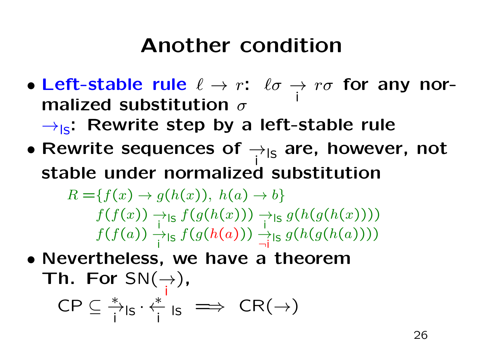### Another condition

- Left-stable rule  $\ell \to r:$   $\ell \sigma \to r \sigma$  for any nor-<br>malized substitution  $\sigma$ . . JH σ i
	- $\rightarrow$ <sub>ls</sub>: Rewrite step by a left-stable rule
- Rewrite sequences of  $\rightarrow$   $_{\mathsf{ls}}$  are, however, not istable under normalized substitution

 $R = \{f(x) \rightarrow g(h(x)), h(a) \rightarrow b\}$   $f(f(x)) \rightarrow_{\mathsf{Is}} f(g(h(x))) \rightarrow_{\mathsf{Is}}$  $\int f$  $(x))$  $\overrightarrow{i}$ ls i $\boldsymbol{f}$  $(g$  $\left($  $\boldsymbol{h}$  $(x))$  $\overrightarrow{i}$ ls  $g$ i $\left($  $\boldsymbol{h}$  $(g$  $\left($  $\boldsymbol{h}$  $f(f(x)) \rightarrow_{\text{ls}} f(g(h(x))) \rightarrow_{\text{ls}} g(h(g(h(x))))$ <br>  $f(f(a)) \rightarrow_{\text{ls}} f(g(h(a))) \rightarrow_{\text{ls}} g(h(g(h(a))))$  $\int f$ ( a))  $\overrightarrow{i}$ ls i $\boldsymbol{f}$  $(g$  $\left($  $\boldsymbol{h}$  $\bigg($  $\bm{a}$ )))  $\rightarrow$  $\overrightarrow{\mathsf{q}}$ ls  $g$  $\left($  $\boldsymbol{h}$  $(g$  $\left($  $\boldsymbol{h}$  $(a))))$ 

• Nevertheless, we have <sup>a</sup> theorem $\mathsf{T} \mathsf{h}.~\mathsf{For}~\mathsf{SN}(\mathbin{\rightarrow}_\mathsf{i}),$ i $\mathsf{CP} \subseteq \overset{*}{\rightarrow}_{\mathsf{IS}} \cdot \overset{*}{\leftarrow}$ i<del>7</del>ls '<br>i <sup>←</sup><sup>∗</sup> i $\frac{1}{i}$  Is  $\implies$  CR( $\rightarrow$ )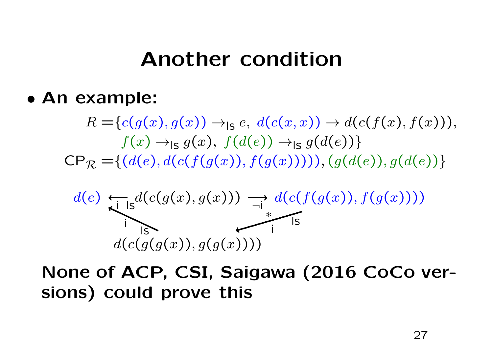#### Another condition

• An example:

 $R = \{c(g(x), g(x)) \to_{\textsf{IS}} e, d(c(x, x)) \to d(c(f(x), f(x))),$   $f(x) \rightarrow_{\textsf{ls}} g(x), f(d(e)) \rightarrow_{\textsf{ls}} g(d(e))$  $\mathsf{CP}_{\mathcal{R}} = \{(d(e), d(c(f(g(x)), f(g(x))))), (g(d(e)), g(d(e))\})$ 



None of ACP, CSI, Saigawa (2016 CoCo versions) could prove this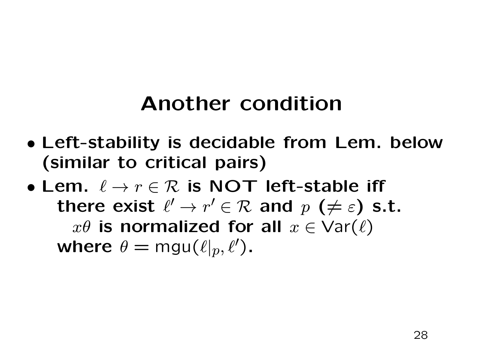## Another condition

- Left-stability is decidable from Lem. below(similar to critical pairs)
- Lem.  $\ell \to r \in \mathcal{R}$  is NOT left-stable iff <br>there exist  $\ell'$  ,  $x' \in \mathcal{D}$  and  $x$  ( $\neq$  c) s there exist  $\ell'$  $'\,\rightarrow\,r$ the contract of the contract of the contract of the contract of the contract of the contract of the contract of  $\mathcal{P}' \in \mathcal{R}$  and  $p$   $(\neq \varepsilon)$  s.t.<br>d for all  $x \in \Delta$  $x\theta$  is normalized for all  $x\in\mathsf{Var}(\ell)$ where  $\theta = \mathsf{mgu}(\ell|_p, \ell')$ ).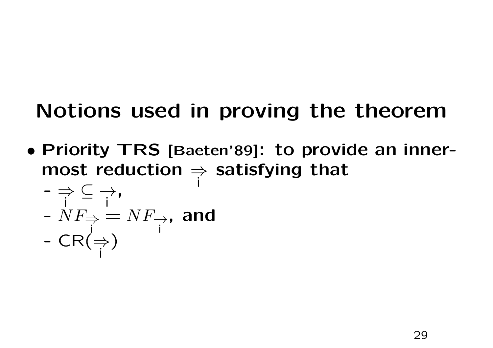## Notions used in proving the theorem

• Priority TRS [Baeten'89]: to provide an inner-<br>meast reduction as astisfying that most reduction  $\Rightarrow$  satisfying that

$$
\begin{array}{l}\n\mathbf{-} \Rightarrow \subseteq \rightarrow, \\
\mathbf{-} N F_{\Rightarrow} = N F_{\rightarrow}, \text{ and} \\
\mathbf{-} CR \Rightarrow \\
\mathbf{+} \Rightarrow \mathbf{-} CR \Rightarrow \\
\mathbf{-} CR \Rightarrow \\
\mathbf{-} CR \Rightarrow \\
\mathbf{-} CR \Rightarrow \\
\mathbf{-} CR \Rightarrow \\
\mathbf{-} CR \Rightarrow \\
\mathbf{-} CR \Rightarrow \\
\mathbf{-} CR \Rightarrow \\
\mathbf{-} CR \Rightarrow \\
\mathbf{-} CR \Rightarrow \\
\mathbf{-} CR \Rightarrow \\
\mathbf{-} CR \Rightarrow \\
\mathbf{-} CR \Rightarrow \\
\mathbf{-} CR \Rightarrow \\
\mathbf{-} CR \Rightarrow \\
\mathbf{-} CR \Rightarrow \\
\mathbf{-} CR \Rightarrow \\
\mathbf{-} CR \Rightarrow \\
\mathbf{-} CR \Rightarrow \\
\mathbf{-} CR \Rightarrow \\
\mathbf{-} CR \Rightarrow \\
\mathbf{-} CR \Rightarrow \\
\mathbf{-} CR \Rightarrow \\
\mathbf{-} CR \Rightarrow \\
\mathbf{-} CR \Rightarrow \\
\mathbf{-} CR \Rightarrow \\
\mathbf{-} CR \Rightarrow \\
\mathbf{-} CR \Rightarrow \\
\mathbf{-} CR \Rightarrow \\
\mathbf{-} CR \Rightarrow \\
\mathbf{-} CR \Rightarrow \\
\mathbf{-} CR \Rightarrow \\
\mathbf{-} CR \Rightarrow \\
\mathbf{-} CR \Rightarrow \\
\mathbf{-} CR \Rightarrow \\
\mathbf{-} CR \Rightarrow \\
\mathbf{-} CR \Rightarrow \\
\mathbf{-} CR \Rightarrow \\
\mathbf{-} CR \Rightarrow \\
\mathbf{-} CR \Rightarrow \\
\mathbf{-} CR \Rightarrow \\
\mathbf{-} CR \Rightarrow \\
\mathbf{-} CR \Rightarrow \\
\mathbf{-} CR \Rightarrow \\
\mathbf{-} CR \Rightarrow \\
\mathbf{-} CR \Rightarrow \\
\mathbf{-} CR \Rightarrow \\
\mathbf{-} CR \Rightarrow \\
\mathbf{-} CR \Rightarrow \\
\mathbf{-} CR \Rightarrow \\
\mathbf{-} CR \Rightarrow \\
\mathbf{-} CR \Rightarrow \\
\mathbf{-} CR \Rightarrow \\
\mathbf{-} CR \Rightarrow \\
\mathbf{-} CR \Rightarrow \\
\mathbf{-} CR \Rightarrow \\
\mathbf{-} CR \Rightarrow \\
\mathbf{-} CR \Rightarrow \\
\mathbf{-} CR \Rightarrow \\
\mathbf{-} CR \Rightarrow \\
\mathbf{-} CR \Rightarrow \\
\mathbf{-} CR \Rightarrow \\
\mathbf{-} CR \Rightarrow \\
\mathbf{-} CR \Rightarrow \\
\mathbf{-} CR \Rightarrow \\
\mathbf{-} CR \Rightarrow \\
\mathbf{-} CR \Rightarrow \\
\mathbf{-} CR \Rightarrow \\
\mathbf{-} CR \Rightarrow \\
\mathbf{-} CR \Rightarrow \\
\mathbf{-} CR \Rightarrow \\
\mathbf{-} CR \Rightarrow \\
\mathbf{-} CR \Rightarrow \\
\mathbf{-} CR \Rightarrow \\
\mathbf{-} CR \Rightarrow \\
\mathbf{-} CR \Rightarrow \\
\mathbf{-} CR \Rightarrow \\
\mathbf{-}
$$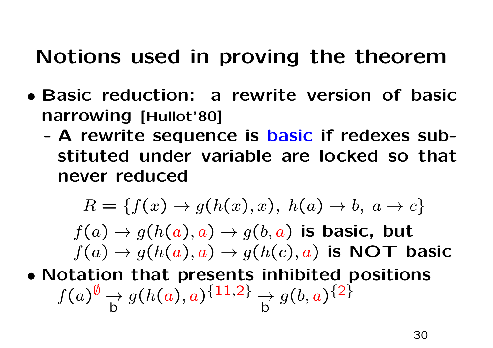## Notions used in proving the theorem

- Basic reduction: <sup>a</sup> rewrite version of basicnarrowing [Hullot'80]
	- - <sup>A</sup> rewrite sequence is basic if redexes substituted under variable are locked so that never reduced

$$
R = \{f(x) \to g(h(x), x), h(a) \to b, a \to c\}
$$

 $R = \{f(x) \to g(h(x), x), h(a) \to b, a \to a \}$ <br> $f(a) \to g(h(a), a) \to g(b, a)$  is basic, but  $\sim$   $\sim$   $\sim$  $\sqrt{1}$  $f(a)\rightarrow g(h(a), a)\rightarrow g(h(c), a)$  is NOT basic

• Notation that presents inhibited positions  $\int$ ( $\,a$ ) $\emptyset$  $\vee$   $\rightarrow$ b $\,g$ ( $\boldsymbol{h}$ ( $\bm{a}$  $), a$ ) $\{ {\bf 11}, {\bf 2}$ } →b $\,g$  $\big(b,$  $\bm{a}$ ) $\{$ 2}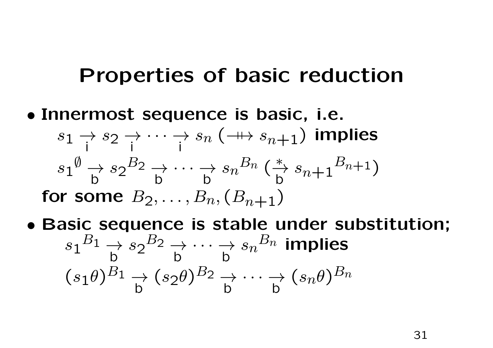#### Properties of basic reduction

#### • Innermost sequence is basic, i.e. s $1\, \rightarrow \, s$ i $2\overrightarrow{i}\cdots\overrightarrow{i} s$ i $_n$  ( $\twoheadrightarrow$ s $s_{n+1})$  implies s1 $\emptyset$  $\stackrel{\vee}{\longrightarrow}$ bfor some  $B_2, \ldots, B_n, (B_{n+1})$ s2 $\, B \,$ 2 $\overrightarrow{2}$ b $\begin{array}{ccc} \rightarrow \cdots \rightarrow s\ \texttt{b} & \texttt{b} \end{array}$  $\, n \,$  $\, B \,$  $\, n \,$  $n \, \big($ <sup>→</sup><sup>∗</sup> bs $s_{n+1}$  $\, B \,$  $n\!+\!1$  ) $_n, (B$  $_{n+1})$

• Basic sequence is stable under substitution; s1 $\, B \,$ 1 $\begin{array}{c} \downarrow \\ \downarrow \\ \downarrow \end{array}$ b $(s_1\theta)^\tau$ s2 $\, B \,$ 2 $\rightarrow$ b $\begin{array}{ccc}\n\rightarrow & \cdots & \rightarrow & S \\
\downarrow & & \downarrow & \rightarrow & \end{array}$  $\, n \,$  $\, B \,$  $\ ^n$  implies s $_1\theta$ ) $\, B \,$ 1 $\begin{array}{c} \downarrow \\ \downarrow \end{array}$ b(s $2\theta$ ) $\, B \,$ 2 $\overrightarrow{2}$ b $\overrightarrow{b}$   $\cdots$   $\overrightarrow{b}$  ( s $n\theta$ ) $\, B \,$  $\, n \,$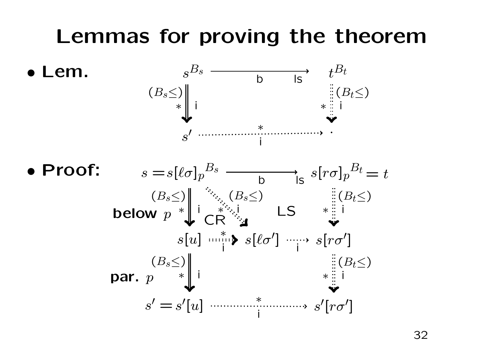## Lemmas for proving the theorem

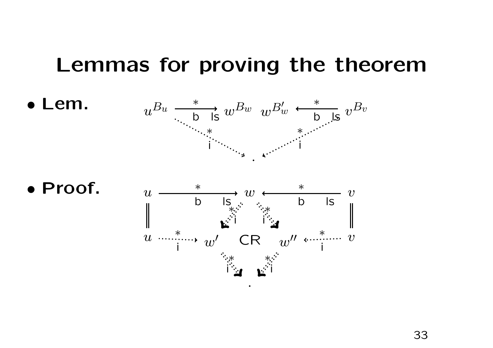#### Lemmas for proving the theorem



• Proof.

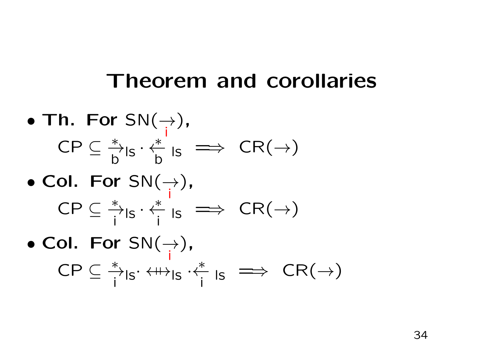#### Theorem and corollaries

• Th. For 
$$
SN(\rightarrow)
$$
,  
CP  $\subseteq \frac{*}{b} \mid s \cdot \frac{*}{b} \mid s \implies CR(\rightarrow)$ 

• Col. For 
$$
SN(\rightarrow)
$$
,  
CP  $\subseteq \frac{*}{i}I_S \cdot \frac{*}{i}I_S \implies CR(\rightarrow)$ 

• Col. For 
$$
SN(\rightarrow)
$$
,  
CP  $\subseteq \frac{*}{i}I_{|S} \cdot \langle I \rangle_{|S} \cdot \langle I \rangle_{|S} \implies CR(\rightarrow)$